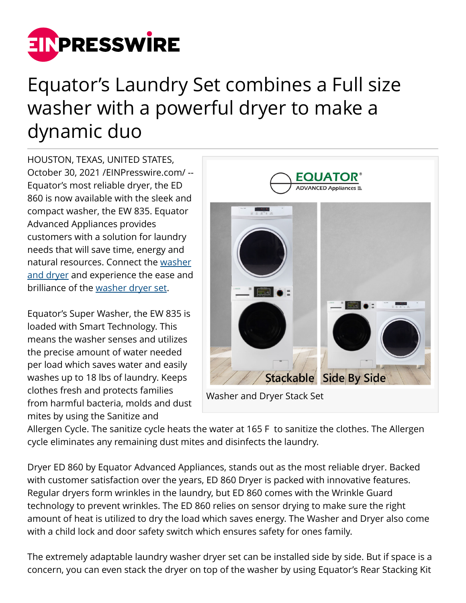

## Equator's Laundry Set combines a Full size washer with a powerful dryer to make a dynamic duo

HOUSTON, TEXAS, UNITED STATES, October 30, 2021 [/EINPresswire.com](http://www.einpresswire.com)/ -- Equator's most reliable dryer, the ED 860 is now available with the sleek and compact washer, the EW 835. Equator Advanced Appliances provides customers with a solution for laundry needs that will save time, energy and natural resources. Connect the [washer](https://equatorappliances.com/product-detail.php?product=seeking-the-ultimate-addition-to-your-energy-saving--337-1416&category_id=11) [and dryer](https://equatorappliances.com/product-detail.php?product=seeking-the-ultimate-addition-to-your-energy-saving--337-1416&category_id=11) and experience the ease and brilliance of the [washer dryer set](https://equatorappliances.com/product-detail.php?product=seeking-the-ultimate-addition-to-your-energy-saving--337-1416&category_id=11).

Equator's Super Washer, the EW 835 is loaded with Smart Technology. This means the washer senses and utilizes the precise amount of water needed per load which saves water and easily washes up to 18 lbs of laundry. Keeps clothes fresh and protects families from harmful bacteria, molds and dust mites by using the Sanitize and



Allergen Cycle. The sanitize cycle heats the water at 165 F to sanitize the clothes. The Allergen cycle eliminates any remaining dust mites and disinfects the laundry.

Dryer ED 860 by Equator Advanced Appliances, stands out as the most reliable dryer. Backed with customer satisfaction over the years, ED 860 Dryer is packed with innovative features. Regular dryers form wrinkles in the laundry, but ED 860 comes with the Wrinkle Guard technology to prevent wrinkles. The ED 860 relies on sensor drying to make sure the right amount of heat is utilized to dry the load which saves energy. The Washer and Dryer also come with a child lock and door safety switch which ensures safety for ones family.

The extremely adaptable laundry washer dryer set can be installed side by side. But if space is a concern, you can even stack the dryer on top of the washer by using Equator's Rear Stacking Kit